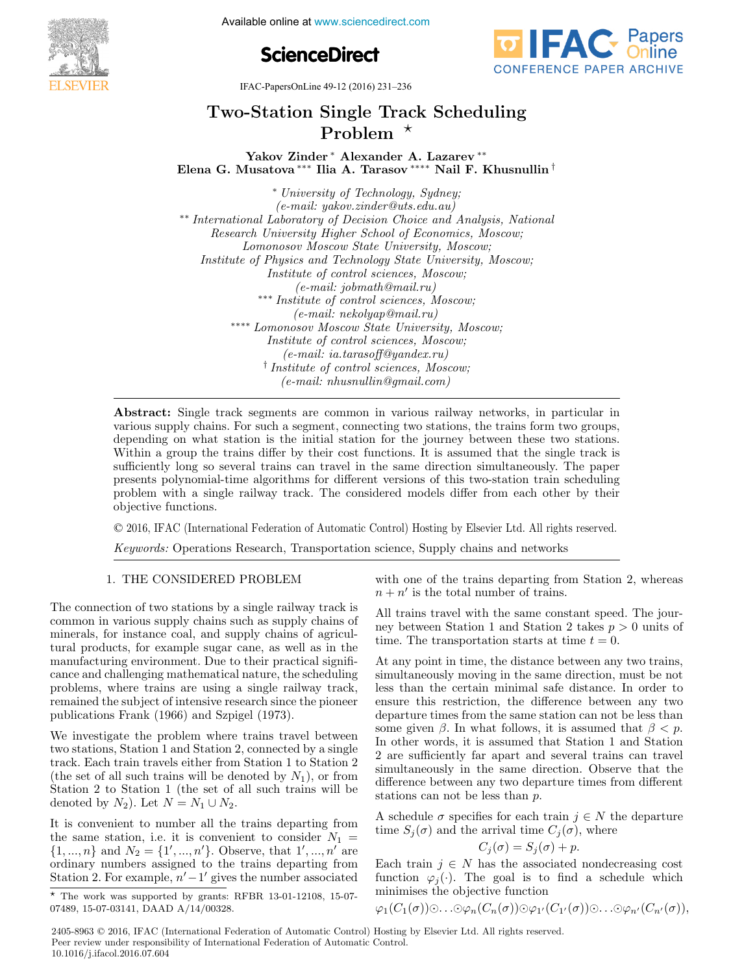**IFACE CONFERENCES**<br> **IFACE CONFERENCES**<br> **IFACE CONFERENCES**<br> **IFACE CONFERENCES**<br> **IFACE CONFERENCES** 





IFAC-PapersOnLine 49-12 (2016) 231–236

# Two-Station Single Track Scheduling Two-Station Single Track Scheduling Two-Station Single Track Scheduling Problem Problem Problem Two-Station Single Track Scheduling

Yakov Zinder ∗ Alexander A. Lazarev ∗∗<br>Takov Zinder ∗ Alexander ↑ Lazarev ∗∗ Elena G. Musatova<sup>\*\*\*</sup> Ilia A. Tarasov<sup>\*\*\*\*</sup> Nail F. Khusnullin<sup>†</sup>

 $(e-mail:ukouzinder@uts.eduau)$  $\frac{1}{\alpha}$  of Decision Choice and ∗∗ International Laboratory of Decision Choice and Analysis, National Lomonosov Moscow State University, Moscow; Lomonosov Moscow State University, Moscow; Lomonosov Moscow State University, Moscow; Institute of control sciences Moscow;  $(e-mail: jobmath@mail.ru)$  $(e$ -mail: joomath@mail.ru)<br>titute of control sciences  $(e-mail: [nekolyap@mail.ru](mailto:nekolyap@mail.ru))$ (e-mail: nekolyap@mail.ru) (e-mail: nekolyap@mail.ru) → Moscow Doctor Doctor State University, Moscow; Institute of control sciences, Moscow; Institute of control sciences, Moscow; (e-mail: ia.tarasoff@yandex.ru) (e-mail: ia.tarasoff@yandex.ru) Institute of control sciences, Moscow;  $(e$ -mail: ia.tarasoff@yandex.ru) (e-mail: ia.tarasoff@yandex.ru)  $\epsilon$ <sup>†</sup> Institute of control sciences,  $\epsilon$ <sup>†</sup>  $(e\text{-}mail: \text{-}nhusnullin@gmail.com)$ ∗ University of Technology, Sydney; ∗ University of Technology, Sydney; ∗ University of Technology, Sydney;  $(e-mail: yakov.zinder@uts.edu.au)$ \*\* International Laboratory of Decision Choice and Analysis, National<br>Personal University Higher School of Examples Masseum Research University Higher School of Economics, Moscow; Institute of Physics and Technology State University, Moscow,  $Institute of control sciences, Moscow;$ <br>  $(1, 2)$ <br>  $(2, 3)$ <br>  $(3, 3)$ <br>  $(4, 3)$ <br>  $(5, 3)$ <br>  $(6, 3)$ <br>  $(7, 3)$ <br>  $(8, 3)$ <br>  $(9, 3)$ <br>  $(1, 3)$ ∗∗∗ Institute of control sciences, Moscow; ∗∗∗ Institute of control sciences, Moscow; ∗∗∗ Institute of control sciences, Moscow; (e-mail: jobmath@mail.ru) ∗∗∗∗ Lomonosov Moscow State University, Moscow; ∗∗∗∗ Lomonosov Moscow State University, Moscow; ∗∗∗∗ Lomonosov Moscow State University, Moscow; (e-mail: nekolyap@mail.ru) <sup>†</sup> Institute of control sciences, Moscow;<br>  $\left( \begin{array}{c} \text{const} \\ \text{const} \end{array} \right)$ 

various supply chains. For such a segment, connecting two stations, the trains form two groups, depending on what station is the initial station for the journey between these two stations. Within a group the trains differ by their cost functions. It is assumed that the single track is sufficiently long so several trains can travel in the same direction simultaneously. The paper presents polynomial-time algorithms for different versions of this two-station train scheduling presents polynomial-time algorithms for different versions of this two-station train scheduling<br>problem with a single railway track. The considered models differ from each other by their  $\mathbf{p}_i$  objective functions. The considered models different models differ from each other by the considered models different models different from each other by the considered models different models are considered mod problem with a single railway track. The considered models differ from each other by their<br>objective functions objective functions. objective functions. objective functions. Abstract: Single track segments are common in various railway networks, in particular in Abstract: Single track segments are common in various railway networks, in particular in problem with a single railway track  $\sigma$  and  $\sigma$  from each other by the considered models different from each other by the intervals of the constant of the constant of the constant of the constant of the constant of the c

(e-mail: nhusnullin@gmail.com)

© 2016, IFAC (International Federation of Automatic Control) Hosting by Elsevier Ltd. All rights reserved. objective functions.<br>Cotta functions.

*Keywords:* Operations Research, Transportation science, Supply chains and networks Keywords: Operations Research, Transportation science, Supply chains and networks

# 1. THE CONSIDERED PROBLEM 1. THE CONSIDERED PROBLEM 1. THE CONSIDERED PROBLEM 1. THE CONSIDERED PROBLEM 1. THE CONSIDERED PROBLEM

The connection of two stations by a single railway track is The connection of two stations by a single railway track is The connection of two stations by a single railway track is common in various supply chains such as supply chains of common in various supply chains such as supply chains of<br>minerals, for instance coal, and supply chains of agriculfund products, for example sugar cane, as well as in the manufacturing environment. Due to their practical signifimanuacturing environment. Due to their practical significance and challenging mathematical nature, the scheduling cance and chanenging mathematical nature, the scheduling<br>problems, where trains are using a single railway track, problems, where trains are using a single ranway track,<br>remained the subject of intensive research since the pioneer publications Frank (1966) and Szpigel (1973). publications Frank (1966) and Szpigel (1973). remained the subject of intensive research since the pioneer The connection of two stations by a single railway track is The connection of two stations by a single railway track is stationary track is a single railway track is a single railway track is a single rate of the connection of the connection of the connection of the connection of The connection of two stations by a single railway track is  $\mathbf{N}$  investigate trains travel between  $\mathbf{N}$ publications Frank (1966) and Szpigel (1973).

We investigate the problem where trains travel between We investigate the problem where trains travel between We investigate the problem where trains travel between two stations, Station 1 and Station 2, connected by a single track. Each train travels either from Station 1 to Station 2<br>track. Each train travels either from Station 2 to Station 2. track. Each train travels entier non-station 1 to station 2<br>(the set of all such trains will be denoted by  $N_1$ ), or from Station 2 to Station 1 (the set of all such trains will be denoted by  $N_1$ ), or from the set of all such trains will be denoted by N<sub>2</sub>). Let N<sub>1</sub> Station 2 to Station 1 (the set of denoted by  $N_2$ ). Let  $N = N_1 \cup N_2$ . we investigate the problem where trains travel between We investigate the problem where trains travel between It is convenient to  $\frac{1}{2}$  $S_{\text{total}}$   $\geq$  to Station 1 (the set of all such trains will be denoted by  $N_2$ ). Let  $N = N_1 \cup N_2$ .

It is convenient to number all the trains departing from It is convenient to number all the trains departing from It is convenient to number all the trains departing from the same station, i.e. it is convenient to number and the transmetric consider  $N_1 =$ the same station, i.e. it is convenient to consider  $N_1 =$ <br>{1, ..., n} and  $N_2 =$  {1', ..., n'}. Observe, that 1', ..., n' are  $\gamma_1, ..., \gamma_i$  and  $\gamma_2 = \gamma_1, ..., \gamma_i$ . Observe, that 1, ...,  $\mu$  are<br>ordinary numbers assigned to the trains departing from  $S$ tation 2. For example,  $n' - 1'$  gives the number associated It is convenient to number all the trains departing from<br>the same station, i.e. it is convenient to consider  $N$  $\frac{\text{Total of }Z. \text{ For example, } n-1 \text{ gives the number associated}}{1-\frac{1}{2}}$ ordinary numbers assigned to the trains departing from Station 2. For example,  $n-1$  gives the number associated with one of the trains departing from Station 2, whereas  $n + n'$  is the total number of trains. with one of the trains departing inc with one of the trains departicle from Station 2, whereas  $\mathcal{L}_\text{c}$ with one of the trains departing from Station 2, whereas

All trains travel with the same constant speed. The jour-An trains travel with the same constant speed. The journey between Station 1 and Station 2 takes  $p > 0$  units of time. The transportation starts at time  $t = 0$ . An trains travel with the same constant speed. The jour-<br>transportation 1 and Station 2 takes  $p > 0$  units of All trains travel with the same constant speed. The jour- $A_{\rm eff}$  any point in time, the distance between any two trains, two trains, two trains, two trains, two trains,  $A_{\rm eff}$ ney between Station 1 and Station 2 takes  $p > 0$  units of

At any point in time, the distance between any two trains, At any point in time, the distance between any two trains, At any point in time, the distance between any two trains, At any point in time, the distance between any two trains, less than the certain minimal safe distance. In order to ess than the certain imminal safe distance. In order to departure times from the same station can not be less than departure times from the same station can not be ress than<br>the given  $\beta$ . In what follows, it is assumed that  $\beta < p$ . Some given  $\beta$ . In what bolows, it is assumed that  $\beta > \beta$ .<br>In other words, it is assumed that Station 1 and Station 2 are sufficiently far apart and several trains can travel 2 are sumcremly far apart and several trains can travel<br>simultaneously in the same direction. Observe that the difference between any two departure times from different stations can not be less than  $\overrightarrow{p}$ . At any point in time, the distance between any two trains, At any point in time, the distance between any two trains, difference between any two departure times from different

A schedule  $\sigma$  specifies for each train  $j \in N$  the departure time  $S_j(\sigma)$  and the arrival time  $C_j(\sigma)$ , where A schedule  $\sigma$  specifies for each train  $j \in N$  to the control time  $C_j(\sigma)$ , where arrivar time  $C_j(\theta)$ <br> $C_j(\theta) + r$ . A schedule  $\pi$  specifies for each train  $i \in N$  the departure A schedule  $\sigma$  specifies for each train  $j \in N$  the arrival time C<sub>j</sub> ( $\sigma$ ), where A schedule *o* specifies for each train  $j \in N$  the departure<br>time  $S_i(\sigma)$  and the arrival time  $C_i(\sigma)$ , where time  $S_j(\theta)$  and the arrival time  $C_j(\theta)$ , where

$$
C_j(\sigma) = S_j(\sigma) + p.
$$

 $E_{j}(o) = S_{j}(o) + p.$ <br>Each train  $j \in N$  has the associated nondecreasing cost Each train  $y \in N$  has the associated nondecreasing cost<br>function  $\varphi_j(\cdot)$ . The goal is to find a schedule which minimises the objective function<br> $\mathcal{L}(G_1(\sigma)) \otimes \mathcal{L}(G_2(\sigma)) \otimes \mathcal{L}(G_3(\sigma)) \otimes \mathcal{L}(G_4(\sigma))$ Each train  $j \in N$  has the associated nondecreasing cost<br>function  $\mathcal{A}(\cdot)$ . The goal is to find a schedule which function  $\varphi_j(\cdot)$ . The goal is to find a schedule which minimises the objective function

$$
\varphi_1(C_1(\sigma))\odot\ldots\odot\varphi_n(C_n(\sigma))\odot\varphi_{1'}(C_{1'}(\sigma))\odot\ldots\odot\varphi_{n'}(C_{n'}(\sigma)),
$$

2405-8963 © 2016, IFAC (International Federation of Automatic Control) Hosting by Elsevier Ltd. All rights reserved. **Peer review under responsibility of International Federation of Automatic Control.**<br> **Peer review under responsibility of International Federation of Automatic Control.** 10.1016/j.ifacol.2016.07.604

 $T_{\star}$  The work was supported by grants: RFBR 13-01-12108, 15-07-07489, 15-07-03141, DAAD A/14/00328. 07489, 15-07-03141, DAAD A/14/00328. 07489, 15-07-03141, DAAD A/14/00328. \* The work was supported by grants: RFBR 13-01-12108, 15-07-<br>07480, 15-07-03141, DAAD A/14/00328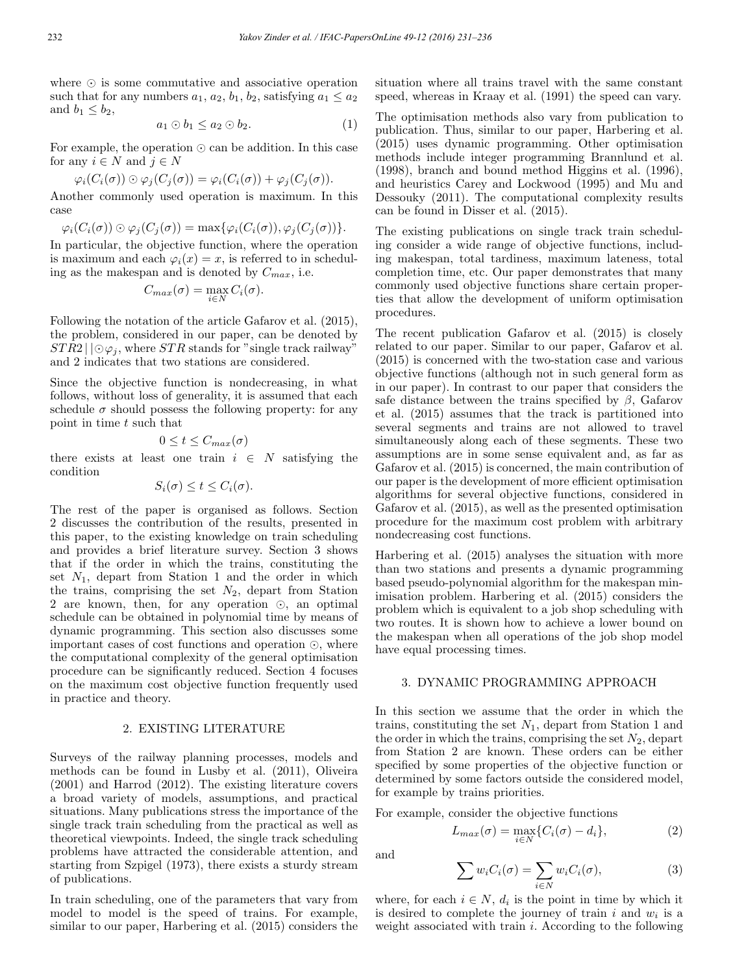where  $\odot$  is some commutative and associative operation such that for any numbers  $a_1, a_2, b_1, b_2$ , satisfying  $a_1 \le a_2$ and  $b_1 < b_2$ ,

$$
a_1 \odot b_1 \le a_2 \odot b_2. \tag{1}
$$

For example, the operation  $\odot$  can be addition. In this case for any  $i \in N$  and  $j \in N$ 

$$
\varphi_i(C_i(\sigma))\odot \varphi_j(C_j(\sigma))=\varphi_i(C_i(\sigma))+\varphi_j(C_j(\sigma)).
$$

Another commonly used operation is maximum. In this case

$$
\varphi_i(C_i(\sigma)) \odot \varphi_j(C_j(\sigma)) = \max{\varphi_i(C_i(\sigma)), \varphi_j(C_j(\sigma))}.
$$

In particular, the objective function, where the operation is maximum and each  $\varphi_i(x) = x$ , is referred to in scheduling as the makespan and is denoted by  $C_{max}$ , i.e.

$$
C_{max}(\sigma) = \max_{i \in N} C_i(\sigma).
$$

Following the notation of the article Gafarov et al. (2015), the problem, considered in our paper, can be denoted by  $STR2 || \odot \varphi_i$ , where  $STR$  stands for "single track railway" and 2 indicates that two stations are considered.

Since the objective function is nondecreasing, in what follows, without loss of generality, it is assumed that each schedule  $\sigma$  should possess the following property: for any point in time t such that

$$
0 \le t \le C_{max}(\sigma)
$$

there exists at least one train  $i \in N$  satisfying the condition

$$
S_i(\sigma) \leq t \leq C_i(\sigma).
$$

The rest of the paper is organised as follows. Section 2 discusses the contribution of the results, presented in this paper, to the existing knowledge on train scheduling and provides a brief literature survey. Section 3 shows that if the order in which the trains, constituting the set  $N_1$ , depart from Station 1 and the order in which the trains, comprising the set  $N_2$ , depart from Station 2 are known, then, for any operation  $\odot$ , an optimal schedule can be obtained in polynomial time by means of dynamic programming. This section also discusses some important cases of cost functions and operation  $\odot$ , where the computational complexity of the general optimisation procedure can be significantly reduced. Section 4 focuses on the maximum cost objective function frequently used in practice and theory.

# 2. EXISTING LITERATURE

Surveys of the railway planning processes, models and methods can be found in Lusby et al. (2011), Oliveira (2001) and Harrod (2012). The existing literature covers a broad variety of models, assumptions, and practical situations. Many publications stress the importance of the single track train scheduling from the practical as well as theoretical viewpoints. Indeed, the single track scheduling problems have attracted the considerable attention, and starting from Szpigel (1973), there exists a sturdy stream of publications.

In train scheduling, one of the parameters that vary from model to model is the speed of trains. For example, similar to our paper, Harbering et al. (2015) considers the situation where all trains travel with the same constant speed, whereas in Kraay et al. (1991) the speed can vary.

The optimisation methods also vary from publication to publication. Thus, similar to our paper, Harbering et al. (2015) uses dynamic programming. Other optimisation methods include integer programming Brannlund et al. (1998), branch and bound method Higgins et al. (1996), and heuristics Carey and Lockwood (1995) and Mu and Dessouky (2011). The computational complexity results can be found in Disser et al. (2015).

The existing publications on single track train scheduling consider a wide range of objective functions, including makespan, total tardiness, maximum lateness, total completion time, etc. Our paper demonstrates that many commonly used objective functions share certain properties that allow the development of uniform optimisation procedures.

The recent publication Gafarov et al. (2015) is closely related to our paper. Similar to our paper, Gafarov et al. (2015) is concerned with the two-station case and various objective functions (although not in such general form as in our paper). In contrast to our paper that considers the safe distance between the trains specified by  $\beta$ , Gafarov et al. (2015) assumes that the track is partitioned into several segments and trains are not allowed to travel simultaneously along each of these segments. These two assumptions are in some sense equivalent and, as far as Gafarov et al. (2015) is concerned, the main contribution of our paper is the development of more efficient optimisation algorithms for several objective functions, considered in Gafarov et al. (2015), as well as the presented optimisation procedure for the maximum cost problem with arbitrary nondecreasing cost functions.

Harbering et al. (2015) analyses the situation with more than two stations and presents a dynamic programming based pseudo-polynomial algorithm for the makespan minimisation problem. Harbering et al. (2015) considers the problem which is equivalent to a job shop scheduling with two routes. It is shown how to achieve a lower bound on the makespan when all operations of the job shop model have equal processing times.

# 3. DYNAMIC PROGRAMMING APPROACH

In this section we assume that the order in which the trains, constituting the set  $N_1$ , depart from Station 1 and the order in which the trains, comprising the set  $N_2$ , depart from Station 2 are known. These orders can be either specified by some properties of the objective function or determined by some factors outside the considered model, for example by trains priorities.

For example, consider the objective functions

$$
L_{max}(\sigma) = \max_{i \in N} \{ C_i(\sigma) - d_i \},\tag{2}
$$

and

$$
\sum w_i C_i(\sigma) = \sum_{i \in N} w_i C_i(\sigma), \tag{3}
$$

where, for each  $i \in N$ ,  $d_i$  is the point in time by which it is desired to complete the journey of train i and  $w_i$  is a weight associated with train *i*. According to the following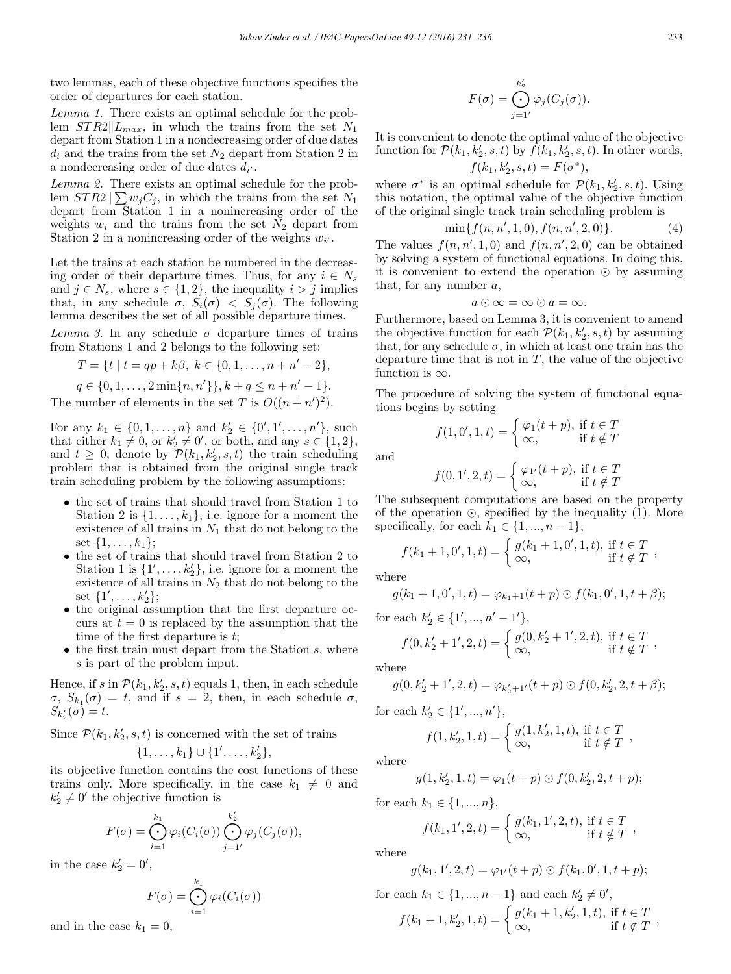two lemmas, each of these objective functions specifies the order of departures for each station.

Lemma 1. There exists an optimal schedule for the problem  $STR2||L_{max}$ , in which the trains from the set  $N_1$ depart from Station 1 in a nondecreasing order of due dates  $d_i$  and the trains from the set  $N_2$  depart from Station 2 in a nondecreasing order of due dates  $d_{i'}$ .

Lemma 2. There exists an optimal schedule for the problem  $STR2 \parallel \sum w_j C_j$ , in which the trains from the set  $N_1$ depart from Station 1 in a nonincreasing order of the weights  $w_i$  and the trains from the set  $N_2$  depart from Station 2 in a nonincreasing order of the weights  $w_{i'}$ .

Let the trains at each station be numbered in the decreasing order of their departure times. Thus, for any  $i \in N_s$ and  $j \in N_s$ , where  $s \in \{1, 2\}$ , the inequality  $i > j$  implies that, in any schedule  $\sigma$ ,  $S_i(\sigma) < S_j(\sigma)$ . The following lemma describes the set of all possible departure times.

Lemma 3. In any schedule  $\sigma$  departure times of trains from Stations 1 and 2 belongs to the following set:

$$
T = \{t \mid t = qp + k\beta, \ k \in \{0, 1, \dots, n + n' - 2\},\
$$

 $q \in \{0, 1, \ldots, 2\min\{n, n'\}\}, k + q \leq n + n' - 1\}.$ The number of elements in the set T is  $O((n + n')^2)$ .

For any  $k_1 \in \{0, 1, ..., n\}$  and  $k'_2 \in \{0', 1', ..., n'\}$ , such that either  $k_1 \neq 0$ , or  $k_2 \neq 0'$ , or both, and any  $s \in \{1,2\}$ , and  $t \geq 0$ , denote by  $\mathcal{P}(k_1, k_2', s, t)$  the train scheduling problem that is obtained from the original single track train scheduling problem by the following assumptions:

- the set of trains that should travel from Station 1 to Station 2 is  $\{1,\ldots,k_1\}$ , i.e. ignore for a moment the existence of all trains in  $N_1$  that do not belong to the set  $\{1, \ldots, k_1\};$
- the set of trains that should travel from Station 2 to Station 1 is  $\{1', \ldots, k_2'\}$ , i.e. ignore for a moment the existence of all trains in  $N_2$  that do not belong to the set  $\{1', \ldots, k'_2\};$
- the original assumption that the first departure occurs at  $t = 0$  is replaced by the assumption that the time of the first departure is  $t$ ;
- $\bullet$  the first train must depart from the Station  $s$ , where s is part of the problem input.

Hence, if s in  $\mathcal{P}(k_1, k_2, s, t)$  equals 1, then, in each schedule  $\sigma$ ,  $S_{k_1}(\sigma) = t$ , and if  $s = 2$ , then, in each schedule  $\sigma$ ,  $S_{k'_{2}}(\sigma)=t.$ 

Since  $\mathcal{P}(k_1, k_2', s, t)$  is concerned with the set of trains

$$
\{1,\ldots,k_1\}\cup\{1',\ldots,k'_2\},\
$$

its objective function contains the cost functions of these trains only. More specifically, in the case  $k_1 \neq 0$  and  $k'_2 \neq 0'$  the objective function is

$$
F(\sigma) = \bigodot_{i=1}^{k_1} \varphi_i(C_i(\sigma)) \bigodot_{j=1'}^{k'_2} \varphi_j(C_j(\sigma)),
$$

in the case  $k'_2 = 0'$ ,

$$
F(\sigma) = \bigoplus_{i=1}^{k_1} \varphi_i(C_i(\sigma))
$$

and in the case  $k_1 = 0$ ,

$$
F(\sigma) = \bigodot_{j=1'}^{k_2'} \varphi_j(C_j(\sigma)).
$$

It is convenient to denote the optimal value of the objective function for  $\mathcal{P}(k_1, k_2', s, t)$  by  $f(k_1, k_2', s, t)$ . In other words,  $f(k_1, k'_2, s, t) = F(\sigma^*),$ 

where  $\sigma^*$  is an optimal schedule for  $\mathcal{P}(k_1, k_2, s, t)$ . Using this notation, the optimal value of the objective function of the original single track train scheduling problem is

$$
\min\{f(n, n', 1, 0), f(n, n', 2, 0)\}.
$$
 (4)

The values  $f(n, n', 1, 0)$  and  $f(n, n', 2, 0)$  can be obtained by solving a system of functional equations. In doing this, it is convenient to extend the operation  $\odot$  by assuming that, for any number  $a$ ,

$$
a\odot\infty=\infty\odot a=\infty.
$$

Furthermore, based on Lemma 3, it is convenient to amend the objective function for each  $\mathcal{P}(k_1, k_2, s, t)$  by assuming that, for any schedule  $\sigma$ , in which at least one train has the departure time that is not in  $T$ , the value of the objective function is  $\infty$ .

The procedure of solving the system of functional equations begins by setting

 $f(1,0',1,t) = \begin{cases} \varphi_1(t+p), & \text{if } t \in T \\ \infty & \text{if } t \neq T \end{cases}$ 

 $\infty$ , if  $t \notin T$ 

and

$$
f(0,1',2,t) = \begin{cases} \varphi_{1'}(t+p), \text{ if } t \in T\\ \infty, \text{ if } t \notin T \end{cases}
$$

The subsequent computations are based on the property of the operation  $\odot$ , specified by the inequality (1). More specifically, for each  $k_1 \in \{1, ..., n-1\}$ ,

$$
f(k_1 + 1, 0', 1, t) = \begin{cases} g(k_1 + 1, 0', 1, t), & \text{if } t \in T \\ \infty, & \text{if } t \notin T \end{cases}
$$

where

$$
g(k_1+1,0',1,t) = \varphi_{k_1+1}(t+p) \odot f(k_1,0',1,t+\beta);
$$

for each  $k'_2 \in \{1', ..., n'-1'\},\$ 

$$
f(0, k'_2 + 1', 2, t) = \begin{cases} g(0, k'_2 + 1', 2, t), & \text{if } t \in T \\ \infty, & \text{if } t \notin T \end{cases}
$$

where

$$
g(0, k'_2 + 1', 2, t) = \varphi_{k'_2 + 1'}(t + p) \odot f(0, k'_2, 2, t + \beta);
$$

for each  $k'_2 \in \{1', ..., n'\},\$ 

$$
f(1, k'_2, 1, t) = \begin{cases} g(1, k'_2, 1, t), & \text{if } t \in T \\ \infty, & \text{if } t \notin T \end{cases}
$$

where

$$
g(1, k'_2, 1, t) = \varphi_1(t + p) \odot f(0, k'_2, 2, t + p);
$$

for each  $k_1 \in \{1, ..., n\},\$ 

$$
f(k_1, 1', 2, t) = \begin{cases} g(k_1, 1', 2, t), & \text{if } t \in T \\ \infty, & \text{if } t \notin T \end{cases}
$$

where

$$
g(k_1,1',2,t) = \varphi_{1'}(t+p) \odot f(k_1,0',1,t+p);
$$

for each 
$$
k_1 \in \{1, ..., n-1\}
$$
 and each  $k'_2 \neq 0'$ ,  
\n
$$
f(k_1 + 1, k'_2, 1, t) = \begin{cases} g(k_1 + 1, k'_2, 1, t), \text{ if } t \in T \\ \infty, \end{cases}
$$
if  $t \notin T$ ,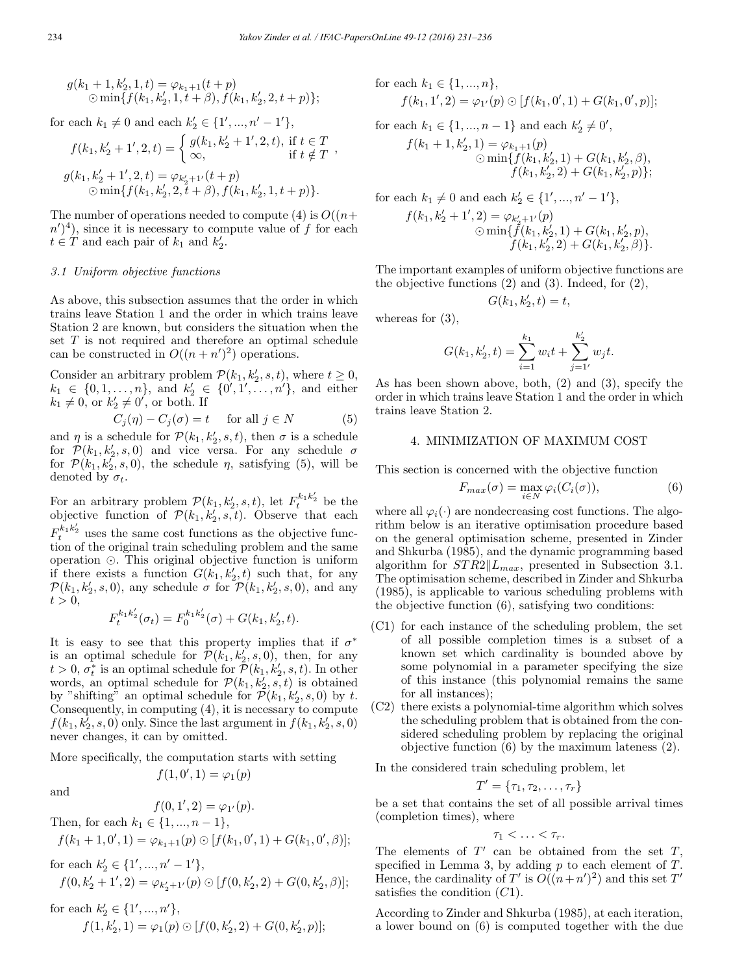$$
g(k_1+1, k'_2, 1, t) = \varphi_{k_1+1}(t+p)
$$
  
 
$$
\odot \min\{f(k_1, k'_2, 1, t+\beta), f(k_1, k'_2, 2, t+p)\};
$$

for each  $k_1 \neq 0$  and each  $k'_2 \in \{1', ..., n' - 1'\},$ 

$$
f(k_1, k'_2 + 1', 2, t) = \begin{cases} g(k_1, k'_2 + 1', 2, t), \text{ if } t \in T \\ \infty, \text{ if } t \notin T \end{cases},
$$
  

$$
g(k_1, k'_2 + 1', 2, t) = \varphi_{k'_2 + 1'}(t + p)
$$
  

$$
\odot \min\{f(k_1, k'_2, 2, t + \beta), f(k_1, k'_2, 1, t + p)\}.
$$

The number of operations needed to compute (4) is  $O((n+$  $(n')<sup>4</sup>$ ), since it is necessary to compute value of f for each  $t \in T$  and each pair of  $k_1$  and  $k_2'$ .

#### 3.1 Uniform objective functions

As above, this subsection assumes that the order in which trains leave Station 1 and the order in which trains leave Station 2 are known, but considers the situation when the set T is not required and therefore an optimal schedule can be constructed in  $O((n + n')^2)$  operations.

Consider an arbitrary problem  $\mathcal{P}(k_1, k_2, s, t)$ , where  $t \geq 0$ ,  $k_1 \in \{0, 1, \ldots, n\}$ , and  $k'_2 \in \{0', 1', \ldots, n'\}$ , and either  $k_1 \neq 0$ , or  $k'_2 \neq 0'$ , or both. If

$$
C_j(\eta) - C_j(\sigma) = t \quad \text{for all } j \in N \tag{5}
$$

and  $\eta$  is a schedule for  $\mathcal{P}(k_1, k_2', s, t)$ , then  $\sigma$  is a schedule for  $\mathcal{P}(k_1, k_2', s, 0)$  and vice versa. For any schedule  $\sigma$ for  $\mathcal{P}(k_1, k_2, s, 0)$ , the schedule  $\eta$ , satisfying (5), will be denoted by  $\sigma_t$ .

For an arbitrary problem  $\mathcal{P}(k_1, k_2, s, t)$ , let  $F_t^{k_1 k_2}$  be the objective function of  $\mathcal{P}(k_1, k_2', s, t)$ . Observe that each  $F_t^{k_1 k_2'}$  uses the same cost functions as the objective function of the original train scheduling problem and the same operation  $\odot$ . This original objective function is uniform if there exists a function  $G(k_1, k_2', t)$  such that, for any  $\mathcal{P}(k_1, k_2', s, 0)$ , any schedule  $\sigma$  for  $\mathcal{P}(k_1, k_2', s, 0)$ , and any  $t > 0$ ,

$$
F_t^{k_1 k_2'}(\sigma_t) = F_0^{k_1 k_2'}(\sigma) + G(k_1, k_2', t).
$$

It is easy to see that this property implies that if  $\sigma^*$ is an optimal schedule for  $\mathcal{P}(k_1, k_2, s, 0)$ , then, for any  $t > 0, \sigma_t^*$  is an optimal schedule for  $\mathcal{P}(k_1, k_2, s, t)$ . In other words, an optimal schedule for  $\mathcal{P}(k_1, k_2, s, t)$  is obtained by "shifting" an optimal schedule for  $\mathcal{P}(k_1, k_2, s, 0)$  by t. Consequently, in computing (4), it is necessary to compute  $f(k_1, k_2', s, 0)$  only. Since the last argument in  $f(k_1, k_2', s, 0)$ never changes, it can by omitted.

More specifically, the computation starts with setting

$$
f(1,0',1) = \varphi_1(p)
$$

and

$$
f(0, 1', 2) = \varphi_{1'}(p).
$$
  
Then, for each  $k_1 \in \{1, ..., n-1\}$ ,  

$$
f(k_1 + 1, 0', 1) = \varphi_{k_1+1}(p) \odot [f(k_1, 0', 1) + G(k_1, 0', \beta)];
$$

for each 
$$
k'_2 \in \{1', ..., n' - 1'\},
$$
  
\n $f(0, k'_2 + 1', 2) = \varphi_{k'_2 + 1'}(p) \odot [f(0, k'_2, 2) + G(0, k'_2, \beta)];$ 

for each 
$$
k'_2 \in \{1', ..., n'\},
$$
  
\n $f(1, k'_2, 1) = \varphi_1(p) \odot [f(0, k'_2, 2) + G(0, k'_2, p)];$ 

for each 
$$
k_1 \in \{1, ..., n\}
$$
,  
\n
$$
f(k_1, 1', 2) = \varphi_{1'}(p) \odot [f(k_1, 0', 1) + G(k_1, 0', p)];
$$

for each  $k_1 \in \{1, ..., n-1\}$  and each  $k'_2 \neq 0'$ ,

$$
f(k_1 + 1, k'_2, 1) = \varphi_{k_1+1}(p)
$$
  
\n
$$
\odot \min \{ f(k_1, k'_2, 1) + G(k_1, k'_2, \beta),
$$
  
\n
$$
f(k_1, k'_2, 2) + G(k_1, k'_2, p) \};
$$

for each  $k_1 \neq 0$  and each  $k'_2 \in \{1', ..., n' - 1'\},$ 

$$
f(k_1, k'_2 + 1', 2) = \varphi_{k'_2 + 1'}(p)
$$
  
 
$$
\odot \min \{ f(k_1, k'_2, 1) + G(k_1, k'_2, p),
$$
  
 
$$
f(k_1, k'_2, 2) + G(k_1, k'_2, \beta) \}.
$$

The important examples of uniform objective functions are the objective functions (2) and (3). Indeed, for (2),

$$
G(k_1, k_2', t) = t,
$$

whereas for (3),

$$
G(k_1, k'_2, t) = \sum_{i=1}^{k_1} w_i t + \sum_{j=1'}^{k'_2} w_j t.
$$

As has been shown above, both, (2) and (3), specify the order in which trains leave Station 1 and the order in which trains leave Station 2.

# 4. MINIMIZATION OF MAXIMUM COST

This section is concerned with the objective function

$$
F_{max}(\sigma) = \max_{i \in N} \varphi_i(C_i(\sigma)), \tag{6}
$$

where all  $\varphi_i(\cdot)$  are nondecreasing cost functions. The algorithm below is an iterative optimisation procedure based on the general optimisation scheme, presented in Zinder and Shkurba (1985), and the dynamic programming based algorithm for  $STR2||L_{max}$ , presented in Subsection 3.1. The optimisation scheme, described in Zinder and Shkurba (1985), is applicable to various scheduling problems with the objective function (6), satisfying two conditions:

- (C1) for each instance of the scheduling problem, the set of all possible completion times is a subset of a known set which cardinality is bounded above by some polynomial in a parameter specifying the size of this instance (this polynomial remains the same for all instances);
- (C2) there exists a polynomial-time algorithm which solves the scheduling problem that is obtained from the considered scheduling problem by replacing the original objective function (6) by the maximum lateness (2).

In the considered train scheduling problem, let

$$
T'=\{\tau_1,\tau_2,\ldots,\tau_r\}
$$

be a set that contains the set of all possible arrival times (completion times), where

$$
\tau_1<\ldots<\tau_r.
$$

The elements of  $T'$  can be obtained from the set  $T$ , specified in Lemma 3, by adding  $p$  to each element of  $T$ . Hence, the cardinality of T' is  $O((n+n')^2)$  and this set T' satisfies the condition  $(C1)$ .

According to Zinder and Shkurba (1985), at each iteration, a lower bound on (6) is computed together with the due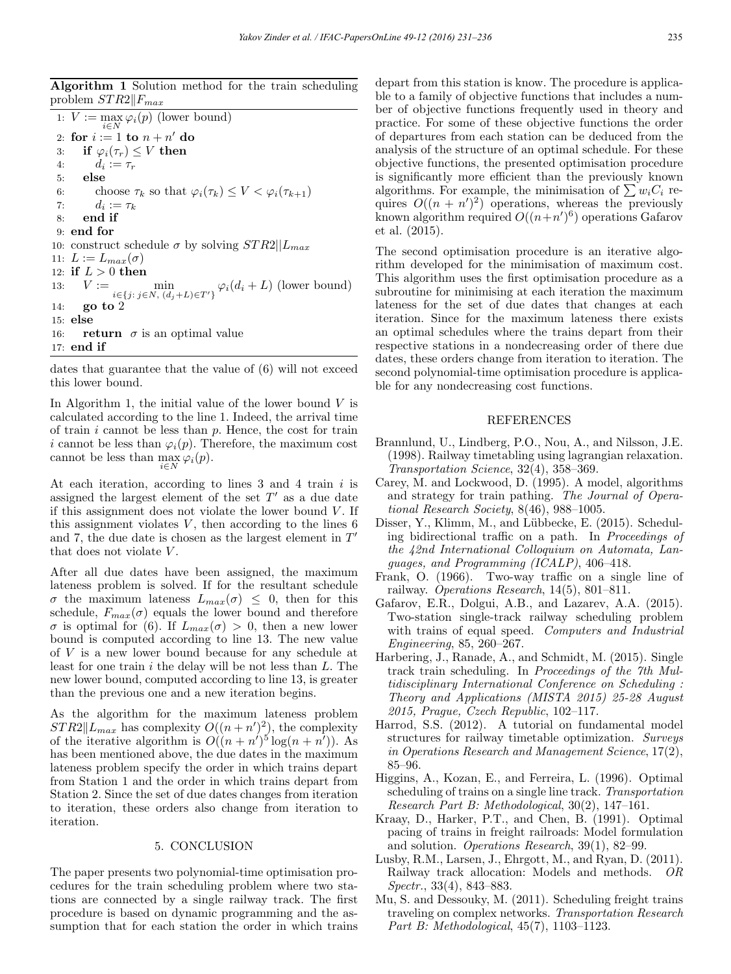Algorithm 1 Solution method for the train scheduling problem  $STR2$ || $F_{max}$ 

1:  $V := \max_{i \in N} \varphi_i(p)$  (lower bound) 2: for  $i := 1$  to  $n + n'$  do 3: if  $\varphi_i(\tau_r) \leq V$  then<br>4:  $d_i := \tau_r$ 4:  $d_i := \tau_r$ <br>5: **else** else 6: choose  $\tau_k$  so that  $\varphi_i(\tau_k) \leq V < \varphi_i(\tau_{k+1})$ <br>7:  $d_i := \tau_k$ 7:  $d_i := \tau_k$ <br>8: **end if** end if 9: end for 10: construct schedule  $\sigma$  by solving  $STR2||L_{max}$ 11:  $L := L_{max}(\sigma)$ 12: **if**  $L > 0$  then<br>13:  $V :=$ 13:  $V := \min$  $\min_{i \in \{j: j \in N, (d_j + L) \in T'\}} \varphi_i(d_i + L)$  (lower bound) 14: go to 2 15: else 16: **return**  $\sigma$  is an optimal value 17: end if

dates that guarantee that the value of (6) will not exceed this lower bound.

In Algorithm 1, the initial value of the lower bound  $V$  is calculated according to the line 1. Indeed, the arrival time of train  $i$  cannot be less than  $p$ . Hence, the cost for train i cannot be less than  $\varphi_i(p)$ . Therefore, the maximum cost cannot be less than  $\max_{i \in N} \varphi_i(p)$ .

At each iteration, according to lines  $3$  and  $4$  train  $i$  is assigned the largest element of the set  $T'$  as a due date if this assignment does not violate the lower bound  $V$ . If this assignment violates  $V$ , then according to the lines  $6$ and 7, the due date is chosen as the largest element in  $T'$ that does not violate  $V$ .

After all due dates have been assigned, the maximum lateness problem is solved. If for the resultant schedule  $\sigma$  the maximum lateness  $L_{max}(\sigma) \leq 0$ , then for this schedule,  $F_{max}(\sigma)$  equals the lower bound and therefore σ is optimal for (6). If  $L_{max}(\sigma) > 0$ , then a new lower bound is computed according to line 13. The new value of V is a new lower bound because for any schedule at least for one train  $i$  the delay will be not less than  $L$ . The new lower bound, computed according to line 13, is greater than the previous one and a new iteration begins.

As the algorithm for the maximum lateness problem  $STR2||L_{max}$  has complexity  $O((n+n')^2)$ , the complexity of the iterative algorithm is  $O((n + n')^5 \log(n + n'))$ . As has been mentioned above, the due dates in the maximum lateness problem specify the order in which trains depart from Station 1 and the order in which trains depart from Station 2. Since the set of due dates changes from iteration to iteration, these orders also change from iteration to iteration.

## 5. CONCLUSION

The paper presents two polynomial-time optimisation procedures for the train scheduling problem where two stations are connected by a single railway track. The first procedure is based on dynamic programming and the assumption that for each station the order in which trains depart from this station is know. The procedure is applicable to a family of objective functions that includes a number of objective functions frequently used in theory and practice. For some of these objective functions the order of departures from each station can be deduced from the analysis of the structure of an optimal schedule. For these objective functions, the presented optimisation procedure is significantly more efficient than the previously known algorithms. For example, the minimisation of  $\sum w_iC_i$  requires  $O((n + n')^2)$  operations, whereas the previously known algorithm required  $O((n+n')^6)$  operations Gafarov et al. (2015).

The second optimisation procedure is an iterative algorithm developed for the minimisation of maximum cost. This algorithm uses the first optimisation procedure as a subroutine for minimising at each iteration the maximum lateness for the set of due dates that changes at each iteration. Since for the maximum lateness there exists an optimal schedules where the trains depart from their respective stations in a nondecreasing order of there due dates, these orders change from iteration to iteration. The second polynomial-time optimisation procedure is applicable for any nondecreasing cost functions.

# REFERENCES

- Brannlund, U., Lindberg, P.O., Nou, A., and Nilsson, J.E. (1998). Railway timetabling using lagrangian relaxation. Transportation Science, 32(4), 358–369.
- Carey, M. and Lockwood, D. (1995). A model, algorithms and strategy for train pathing. The Journal of Operational Research Society, 8(46), 988–1005.
- Disser, Y., Klimm, M., and Lübbecke, E. (2015). Scheduling bidirectional traffic on a path. In Proceedings of the 42nd International Colloquium on Automata, Languages, and Programming (ICALP), 406–418.
- Frank, O. (1966). Two-way traffic on a single line of railway. Operations Research, 14(5), 801–811.
- Gafarov, E.R., Dolgui, A.B., and Lazarev, A.A. (2015). Two-station single-track railway scheduling problem with trains of equal speed. Computers and Industrial Engineering, 85, 260–267.
- Harbering, J., Ranade, A., and Schmidt, M. (2015). Single track train scheduling. In Proceedings of the 7th Multidisciplinary International Conference on Scheduling : Theory and Applications (MISTA 2015) 25-28 August 2015, Prague, Czech Republic, 102–117.
- Harrod, S.S. (2012). A tutorial on fundamental model structures for railway timetable optimization. Surveys in Operations Research and Management Science, 17(2), 85–96.
- Higgins, A., Kozan, E., and Ferreira, L. (1996). Optimal scheduling of trains on a single line track. Transportation Research Part B: Methodological, 30(2), 147–161.
- Kraay, D., Harker, P.T., and Chen, B. (1991). Optimal pacing of trains in freight railroads: Model formulation and solution. Operations Research, 39(1), 82–99.
- Lusby, R.M., Larsen, J., Ehrgott, M., and Ryan, D. (2011). Railway track allocation: Models and methods. OR Spectr., 33(4), 843–883.
- Mu, S. and Dessouky, M. (2011). Scheduling freight trains traveling on complex networks. Transportation Research Part B: Methodological, 45(7), 1103–1123.